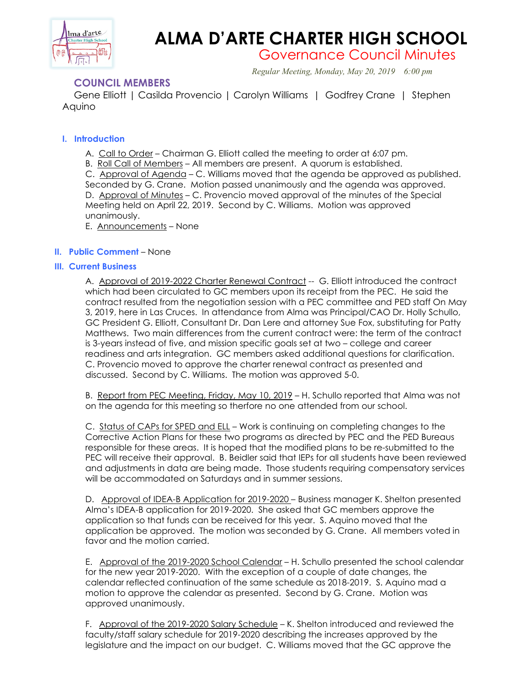

# **ALMA D'ARTE CHARTER HIGH SCHOOL**

Governance Council Minutes

*Regular Meeting, Monday, May 20, 2019 6:00 pm*

# **COUNCIL MEMBERS**

 Gene Elliott | Casilda Provencio | Carolyn Williams | Godfrey Crane | Stephen Aquino

# **I. Introduction**

A. Call to Order – Chairman G. Elliott called the meeting to order at 6:07 pm.

B. Roll Call of Members – All members are present. A quorum is established.

C. Approval of Agenda – C. Williams moved that the agenda be approved as published. Seconded by G. Crane. Motion passed unanimously and the agenda was approved. D. Approval of Minutes - C. Provencio moved approval of the minutes of the Special Meeting held on April 22, 2019. Second by C. Williams. Motion was approved unanimously.

E. Announcements – None

# **II. Public Comment** – None

## **III. Current Business**

A. Approval of 2019-2022 Charter Renewal Contract -- G. Elliott introduced the contract which had been circulated to GC members upon its receipt from the PEC. He said the contract resulted from the negotiation session with a PEC committee and PED staff On May 3, 2019, here in Las Cruces. In attendance from Alma was Principal/CAO Dr. Holly Schullo, GC President G. Elliott, Consultant Dr. Dan Lere and attorney Sue Fox, substituting for Patty Matthews. Two main differences from the current contract were: the term of the contract is 3-years instead of five, and mission specific goals set at two – college and career readiness and arts integration. GC members asked additional questions for clarification. C. Provencio moved to approve the charter renewal contract as presented and discussed. Second by C. Williams. The motion was approved 5-0.

B. Report from PEC Meeting, Friday, May 10, 2019 – H. Schullo reported that Alma was not on the agenda for this meeting so therfore no one attended from our school.

C. Status of CAPs for SPED and ELL – Work is continuing on completing changes to the Corrective Action Plans for these two programs as directed by PEC and the PED Bureaus responsible for these areas. It is hoped that the modified plans to be re-submitted to the PEC will receive their approval. B. Beidler said that IEPs for all students have been reviewed and adjustments in data are being made. Those students requiring compensatory services will be accommodated on Saturdays and in summer sessions.

D. Approval of IDEA-B Application for 2019-2020 – Business manager K. Shelton presented Alma's IDEA-B application for 2019-2020. She asked that GC members approve the application so that funds can be received for this year. S. Aquino moved that the application be approved. The motion was seconded by G. Crane. All members voted in favor and the motion carried.

E. Approval of the 2019-2020 School Calendar – H. Schullo presented the school calendar for the new year 2019-2020. With the exception of a couple of date changes, the calendar reflected continuation of the same schedule as 2018-2019. S. Aquino mad a motion to approve the calendar as presented. Second by G. Crane. Motion was approved unanimously.

F. Approval of the 2019-2020 Salary Schedule – K. Shelton introduced and reviewed the faculty/staff salary schedule for 2019-2020 describing the increases approved by the legislature and the impact on our budget. C. Williams moved that the GC approve the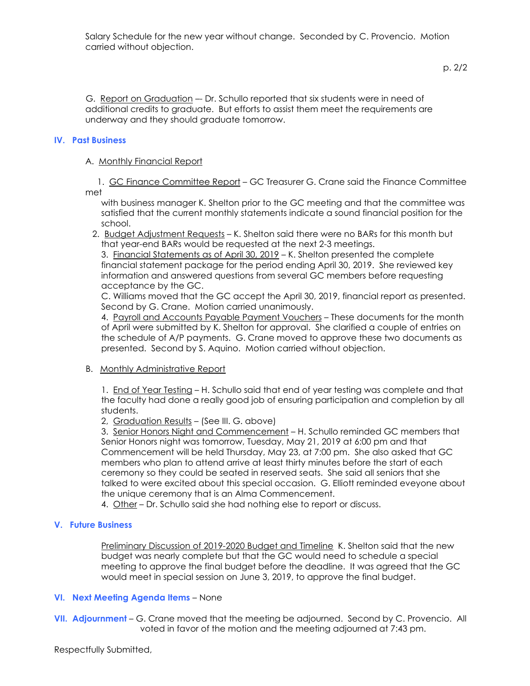p. 2/2

G. Report on Graduation –- Dr. Schullo reported that six students were in need of additional credits to graduate. But efforts to assist them meet the requirements are underway and they should graduate tomorrow.

## **IV. Past Business**

## A. Monthly Financial Report

 1. GC Finance Committee Report – GC Treasurer G. Crane said the Finance Committee met

with business manager K. Shelton prior to the GC meeting and that the committee was satisfied that the current monthly statements indicate a sound financial position for the school.

 2. Budget Adjustment Requests – K. Shelton said there were no BARs for this month but that year-end BARs would be requested at the next 2-3 meetings.

3. Financial Statements as of April 30, 2019 – K. Shelton presented the complete financial statement package for the period ending April 30, 2019. She reviewed key information and answered questions from several GC members before requesting acceptance by the GC.

C. Williams moved that the GC accept the April 30, 2019, financial report as presented. Second by G. Crane. Motion carried unanimously.

4. Payroll and Accounts Payable Payment Vouchers – These documents for the month of April were submitted by K. Shelton for approval. She clarified a couple of entries on the schedule of A/P payments. G. Crane moved to approve these two documents as presented. Second by S. Aquino. Motion carried without objection.

### B. Monthly Administrative Report

1. End of Year Testing – H. Schullo said that end of year testing was complete and that the faculty had done a really good job of ensuring participation and completion by all students.

2, Graduation Results – (See III. G. above)

3. Senior Honors Night and Commencement – H. Schullo reminded GC members that Senior Honors night was tomorrow, Tuesday, May 21, 2019 at 6:00 pm and that Commencement will be held Thursday, May 23, at 7:00 pm. She also asked that GC members who plan to attend arrive at least thirty minutes before the start of each ceremony so they could be seated in reserved seats. She said all seniors that she talked to were excited about this special occasion. G. Elliott reminded eveyone about the unique ceremony that is an Alma Commencement.

4. Other – Dr. Schullo said she had nothing else to report or discuss.

### **V. Future Business**

Preliminary Discussion of 2019-2020 Budget and Timeline K. Shelton said that the new budget was nearly complete but that the GC would need to schedule a special meeting to approve the final budget before the deadline. It was agreed that the GC would meet in special session on June 3, 2019, to approve the final budget.

### **VI. Next Meeting Agenda Items** – None

**VII. Adjournment** – G. Crane moved that the meeting be adjourned. Second by C. Provencio. All voted in favor of the motion and the meeting adjourned at 7:43 pm.